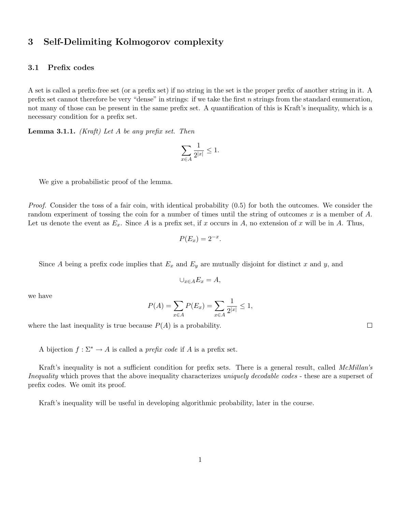## 3 Self-Delimiting Kolmogorov complexity

## 3.1 Prefix codes

A set is called a prefix-free set (or a prefix set) if no string in the set is the proper prefix of another string in it. A prefix set cannot therefore be very "dense" in strings: if we take the first  $n$  strings from the standard enumeration, not many of those can be present in the same prefix set. A quantification of this is Kraft's inequality, which is a necessary condition for a prefix set.

**Lemma 3.1.1.** (Kraft) Let A be any prefix set. Then

$$
\sum_{x\in A}\frac{1}{2^{|x|}}\leq 1.
$$

We give a probabilistic proof of the lemma.

Proof. Consider the toss of a fair coin, with identical probability  $(0.5)$  for both the outcomes. We consider the random experiment of tossing the coin for a number of times until the string of outcomes x is a member of  $A$ . Let us denote the event as  $E_x$ . Since A is a prefix set, if x occurs in A, no extension of x will be in A. Thus,

$$
P(E_x) = 2^{-x}.
$$

Since A being a prefix code implies that  $E_x$  and  $E_y$  are mutually disjoint for distinct x and y, and

$$
\cup_{x \in A} E_x = A,
$$

we have

$$
P(A) = \sum_{x \in A} P(E_x) = \sum_{x \in A} \frac{1}{2^{|x|}} \le 1,
$$

where the last inequality is true because  $P(A)$  is a probability.

A bijection  $f : \Sigma^* \to A$  is called a *prefix code* if A is a prefix set.

Kraft's inequality is not a sufficient condition for prefix sets. There is a general result, called McMillan's Inequality which proves that the above inequality characterizes uniquely decodable codes - these are a superset of prefix codes. We omit its proof.

Kraft's inequality will be useful in developing algorithmic probability, later in the course.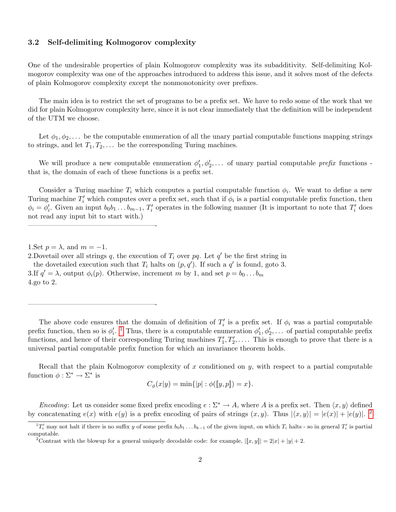## 3.2 Self-delimiting Kolmogorov complexity

One of the undesirable properties of plain Kolmogorov complexity was its subadditivity. Self-delimiting Kolmogorov complexity was one of the approaches introduced to address this issue, and it solves most of the defects of plain Kolmogorov complexity except the nonmonotonicity over prefixes.

The main idea is to restrict the set of programs to be a prefix set. We have to redo some of the work that we did for plain Kolmogorov complexity here, since it is not clear immediately that the definition will be independent of the UTM we choose.

Let  $\phi_1, \phi_2, \ldots$  be the computable enumeration of all the unary partial computable functions mapping strings to strings, and let  $T_1, T_2, \ldots$  be the corresponding Turing machines.

We will produce a new computable enumeration  $\phi'_1, \phi'_2, \ldots$  of unary partial computable prefix functions that is, the domain of each of these functions is a prefix set.

Consider a Turing machine  $T_i$  which computes a partial computable function  $\phi_i$ . We want to define a new Turing machine  $T_i'$  which computes over a prefix set, such that if  $\phi_i$  is a partial computable prefix function, then  $\phi_i = \phi'_i$ . Given an input  $b_0 b_1 \ldots b_{m-1}$ ,  $T'_i$  operates in the following manner (It is important to note that  $T'_i$  does not read any input bit to start with.)

——————————————————-

——————————————————-

Recall that the plain Kolmogorov complexity of x conditioned on y, with respect to a partial computable function  $\phi : \Sigma^* \to \Sigma^*$  is

$$
C_{\phi}(x|y) = \min\{|p| : \phi([y, p]) = x\}.
$$

Encoding: Let us consider some fixed prefix encoding  $e : \Sigma^* \to A$ , where A is a prefix set. Then  $\langle x, y \rangle$  defined by concatenating  $e(x)$  with  $e(y)$  is a prefix encoding of pairs of strings  $(x, y)$ . Thus  $|\langle x, y \rangle| = |e(x)| + |e(y)|$ .

<sup>1.</sup> Set  $p = \lambda$ , and  $m = -1$ .

<sup>2.</sup> Dovetail over all strings q, the execution of  $T_i$  over pq. Let  $q'$  be the first string in the dovetailed execution such that  $T_i$  halts on  $(p, q')$ . If such a  $q'$  is found, goto 3. 3.If  $q' = \lambda$ , output  $\phi_i(p)$ . Otherwise, increment m by 1, and set  $p = b_0 \dots b_m$ 4.go to 2.

The above code ensures that the domain of definition of  $T_i'$  is a prefix set. If  $\phi_i$  was a partial computable prefix function, then so is  $\phi'_i$ . <sup>[1](#page-1-0)</sup> Thus, there is a computable enumeration  $\phi'_1, \phi'_2, \ldots$  of partial computable prefix functions, and hence of their corresponding Turing machines  $T_1', T_2', \ldots$ . This is enough to prove that there is a universal partial computable prefix function for which an invariance theorem holds.

<span id="page-1-0"></span> ${}^{1}T'_{i}$  may not halt if there is no suffix y of some prefix  $b_0b_1 \ldots b_{k-1}$  of the given input, on which  $T_i$  halts - so in general  $T'_{i}$  is partial computable.

<span id="page-1-1"></span><sup>&</sup>lt;sup>2</sup>Contrast with the blowup for a general uniquely decodable code: for example,  $\left|\left[x, y\right]\right| = 2|x| + |y| + 2$ .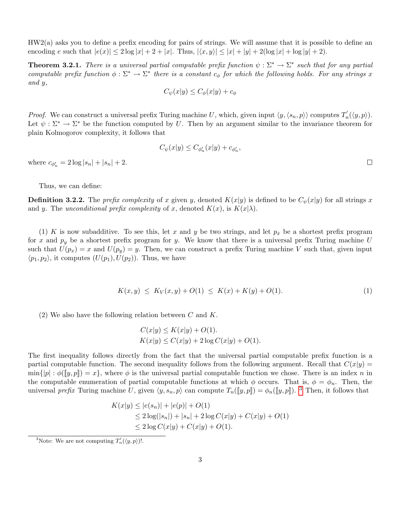HW2(a) asks you to define a prefix encoding for pairs of strings. We will assume that it is possible to define an encoding e such that  $|e(x)| \leq 2 \log |x| + 2 + |x|$ . Thus,  $|\langle x, y \rangle| \leq |x| + |y| + 2(\log |x| + \log |y| + 2)$ .

**Theorem 3.2.1.** There is a universal partial computable prefix function  $\psi : \Sigma^* \to \Sigma^*$  such that for any partial computable prefix function  $\phi : \Sigma^* \to \Sigma^*$  there is a constant  $c_{\phi}$  for which the following holds. For any strings x and y,

$$
C_{\psi}(x|y) \le C_{\phi}(x|y) + c_{\phi}
$$

*Proof.* We can construct a universal prefix Turing machine U, which, given input  $\langle y, \langle s_n, p \rangle \rangle$  computes  $T'_n(\langle y, p \rangle)$ . Let  $\psi : \Sigma^* \to \Sigma^*$  be the function computed by U. Then by an argument similar to the invariance theorem for plain Kolmogorov complexity, it follows that

$$
C_{\psi}(x|y) \leq C_{\phi'_n}(x|y) + c_{\phi'_n},
$$

where  $c_{\phi'_n} = 2 \log |s_n| + |s_n| + 2$ .

Thus, we can define:

**Definition 3.2.2.** The prefix complexity of x given y, denoted  $K(x|y)$  is defined to be  $C_{\psi}(x|y)$  for all strings x and y. The unconditional prefix complexity of x, denoted  $K(x)$ , is  $K(x|\lambda)$ .

(1) K is now subadditive. To see this, let x and y be two strings, and let  $p_x$  be a shortest prefix program for x and  $p_y$  be a shortest prefix program for y. We know that there is a universal prefix Turing machine U such that  $U(p_x) = x$  and  $U(p_y) = y$ . Then, we can construct a prefix Turing machine V such that, given input  $\langle p_1, p_2 \rangle$ , it computes  $(U(p_1), U(p_2))$ . Thus, we have

$$
K(x, y) \le K_V(x, y) + O(1) \le K(x) + K(y) + O(1). \tag{1}
$$

(2) We also have the following relation between C and K.

<span id="page-2-1"></span>
$$
C(x|y) \le K(x|y) + O(1).
$$
  
 
$$
K(x|y) \le C(x|y) + 2 \log C(x|y) + O(1).
$$

The first inequality follows directly from the fact that the universal partial computable prefix function is a partial computable function. The second inequality follows from the following argument. Recall that  $C(x|y)$  $\min\{|p| : \phi([y, p]) = x\}$ , where  $\phi$  is the universal partial computable function we chose. There is an index n in the computable enumeration of partial computable functions at which  $\phi$  occurs. That is,  $\phi = \phi_n$ . Then, the universal prefix Turing machine U, given  $\langle y, s_n, p \rangle$  can compute  $T_n([y, p]) = \phi_n([y, p])$ . [3](#page-2-0) Then, it follows that

$$
K(x|y) \le |e(s_n)| + |e(p)| + O(1)
$$
  
\n
$$
\le 2\log(|s_n|) + |s_n| + 2\log C(x|y) + C(x|y) + O(1)
$$
  
\n
$$
\le 2\log C(x|y) + C(x|y) + O(1).
$$

<span id="page-2-0"></span><sup>&</sup>lt;sup>3</sup>Note: We are not computing  $T'_n(\langle y, p \rangle)!$ .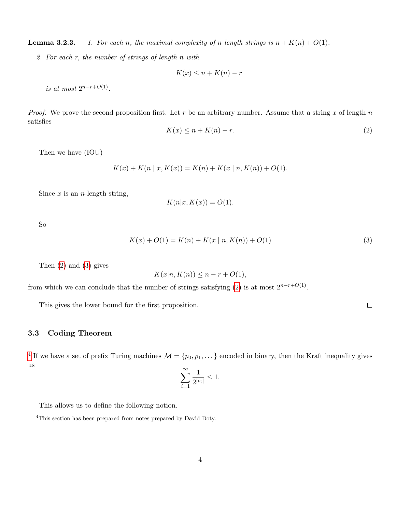**Lemma 3.2.3.** 1. For each n, the maximal complexity of n length strings is  $n + K(n) + O(1)$ .

2. For each r, the number of strings of length n with

$$
K(x) \le n + K(n) - r
$$

is at most  $2^{n-r+O(1)}$ .

*Proof.* We prove the second proposition first. Let r be an arbitrary number. Assume that a string x of length  $n$ satisfies

<span id="page-3-0"></span>
$$
K(x) \le n + K(n) - r.\tag{2}
$$

Then we have (IOU)

$$
K(x) + K(n | x, K(x)) = K(n) + K(x | n, K(n)) + O(1).
$$

Since  $x$  is an *n*-length string,

<span id="page-3-1"></span>
$$
K(n|x, K(x)) = O(1).
$$

So

$$
K(x) + O(1) = K(n) + K(x | n, K(n)) + O(1)
$$
\n(3)

Then [\(2\)](#page-3-0) and [\(3\)](#page-3-1) gives

$$
K(x|n, K(n)) \le n - r + O(1),
$$

from which we can conclude that the number of strings satisfying [\(2\)](#page-3-0) is at most  $2^{n-r+O(1)}$ .

This gives the lower bound for the first proposition.

## 3.3 Coding Theorem

<sup>[4](#page-3-2)</sup> If we have a set of prefix Turing machines  $\mathcal{M} = \{p_0, p_1, \dots\}$  encoded in binary, then the Kraft inequality gives us  $\sim$ 

$$
\sum_{i=1}^{\infty} \frac{1}{2^{|p_i|}} \le 1.
$$

This allows us to define the following notion.

<span id="page-3-2"></span><sup>&</sup>lt;sup>4</sup>This section has been prepared from notes prepared by David Doty.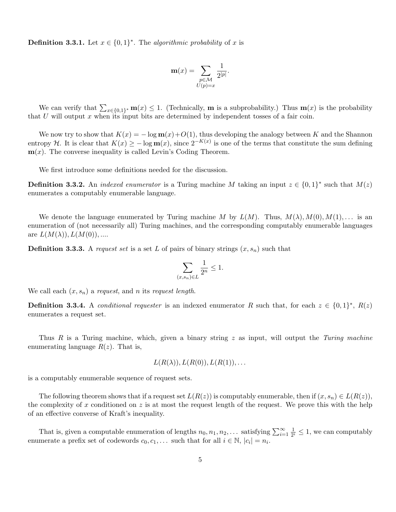**Definition 3.3.1.** Let  $x \in \{0,1\}^*$ . The algorithmic probability of x is

$$
\mathbf{m}(x) = \sum_{\substack{p \in \mathcal{M} \\ U(p)=x}} \frac{1}{2^{|p|}}.
$$

We can verify that  $\sum_{x\in\{0,1\}^*} \mathbf{m}(x) \leq 1$ . (Technically, **m** is a subprobability.) Thus  $\mathbf{m}(x)$  is the probability that  $U$  will output  $x$  when its input bits are determined by independent tosses of a fair coin.

We now try to show that  $K(x) = -\log \mathbf{m}(x) + O(1)$ , thus developing the analogy between K and the Shannon entropy H. It is clear that  $K(x) \ge -\log m(x)$ , since  $2^{-K(x)}$  is one of the terms that constitute the sum defining  $\mathbf{m}(x)$ . The converse inequality is called Levin's Coding Theorem.

We first introduce some definitions needed for the discussion.

**Definition 3.3.2.** An *indexed enumerator* is a Turing machine M taking an input  $z \in \{0,1\}^*$  such that  $M(z)$ enumerates a computably enumerable language.

We denote the language enumerated by Turing machine M by  $L(M)$ . Thus,  $M(\lambda), M(0), M(1), \ldots$  is an enumeration of (not necessarily all) Turing machines, and the corresponding computably enumerable languages are  $L(M(\lambda)), L(M(0)),...$ 

**Definition 3.3.3.** A request set is a set L of pairs of binary strings  $(x, s_n)$  such that

$$
\sum_{(x,s_n)\in L}\frac{1}{2^n}\leq 1.
$$

We call each  $(x, s_n)$  a request, and n its request length.

**Definition 3.3.4.** A *conditional requester* is an indexed enumerator R such that, for each  $z \in \{0,1\}^*$ ,  $R(z)$ enumerates a request set.

Thus  $R$  is a Turing machine, which, given a binary string  $z$  as input, will output the Turing machine enumerating language  $R(z)$ . That is,

$$
L(R(\lambda)), L(R(0)), L(R(1)), \ldots
$$

is a computably enumerable sequence of request sets.

The following theorem shows that if a request set  $L(R(z))$  is computably enumerable, then if  $(x, s_n) \in L(R(z))$ , the complexity of x conditioned on z is at most the request length of the request. We prove this with the help of an effective converse of Kraft's inequality.

<span id="page-4-0"></span>That is, given a computable enumeration of lengths  $n_0, n_1, n_2, \ldots$  satisfying  $\sum_{i=1}^{\infty} \frac{1}{2^n}$  $\frac{1}{2^i} \leq 1$ , we can computably enumerate a prefix set of codewords  $c_0, c_1, \ldots$  such that for all  $i \in \mathbb{N}$ ,  $|c_i| = n_i$ .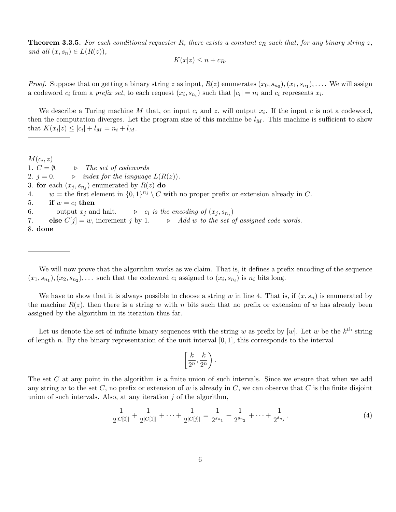**Theorem 3.3.5.** For each conditional requester R, there exists a constant  $c_R$  such that, for any binary string z, and all  $(x, s_n) \in L(R(z)),$ 

$$
K(x|z) \le n + c_R.
$$

*Proof.* Suppose that on getting a binary string z as input,  $R(z)$  enumerates  $(x_0, s_{n_0}), (x_1, s_{n_1}), \ldots$ . We will assign a codeword  $c_i$  from a *prefix set*, to each request  $(x_i, s_{n_i})$  such that  $|c_i| = n_i$  and  $c_i$  represents  $x_i$ .

We describe a Turing machine M that, on input  $c_i$  and z, will output  $x_i$ . If the input c is not a codeword, then the computation diverges. Let the program size of this machine be  $l_M$ . This machine is sufficient to show that  $K(x_i|z) \leq |c_i| + l_M = n_i + l_M$ .

 $M(c_i,z)$ 1.  $C = \emptyset$ .  $\Rightarrow$  The set of codewords 2.  $j = 0$ .  $\Rightarrow$  index for the language  $L(R(z))$ . 3. for each  $(x_j, s_{n_j})$  enumerated by  $R(z)$  do 4.  $w =$  the first element in  $\{0,1\}^{n_j} \setminus C$  with no proper prefix or extension already in C. 5. if  $w = c_i$  then 6. output  $x_j$  and halt.  $\qquad \triangleright \quad c_i$  is the encoding of  $(x_j, s_{n_j})$ 7. else  $C[j] = w$ , increment j by 1.  $\triangleright$  Add w to the set of assigned code words. 8. done

——————

——————

We will now prove that the algorithm works as we claim. That is, it defines a prefix encoding of the sequence  $(x_1, s_{n_1}), (x_2, s_{n_2}), \ldots$  such that the codeword  $c_i$  assigned to  $(x_i, s_{n_i})$  is  $n_i$  bits long.

We have to show that it is always possible to choose a string w in line 4. That is, if  $(x, s_n)$  is enumerated by the machine  $R(z)$ , then there is a string w with n bits such that no prefix or extension of w has already been assigned by the algorithm in its iteration thus far.

Let us denote the set of infinite binary sequences with the string w as prefix by [w]. Let w be the  $k^{\text{th}}$  string of length n. By the binary representation of the unit interval  $[0, 1]$ , this corresponds to the interval

$$
\left[\frac{k}{2^n},\frac{k}{2^n}\right).
$$

The set C at any point in the algorithm is a finite union of such intervals. Since we ensure that when we add any string w to the set C, no prefix or extension of w is already in C, we can observe that C is the finite disjoint union of such intervals. Also, at any iteration  $j$  of the algorithm,

<span id="page-5-0"></span>
$$
\frac{1}{2^{|C[0]|}} + \frac{1}{2^{|C[1]|}} + \dots + \frac{1}{2^{|C[j]|}} = \frac{1}{2^{s_{n_1}}} + \frac{1}{2^{s_{n_2}}} + \dots + \frac{1}{2^{s_{n_j}}}.
$$
\n(4)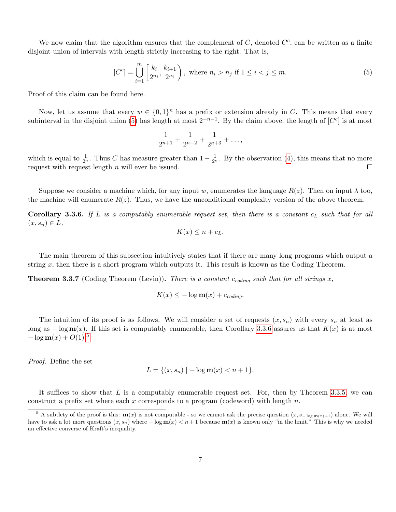We now claim that the algorithm ensures that the complement of  $C$ , denoted  $C<sup>c</sup>$ , can be written as a finite disjoint union of intervals with length strictly increasing to the right. That is,

<span id="page-6-0"></span>
$$
[C^{c}] = \bigcup_{i=1}^{m} \left[ \frac{k_i}{2^{n_i}}, \frac{k_{i+1}}{2^{n_i}} \right), \text{ where } n_i > n_j \text{ if } 1 \le i < j \le m.
$$
 (5)

Proof of this claim can be found here.

Now, let us assume that every  $w \in \{0,1\}^n$  has a prefix or extension already in C. This means that every subinterval in the disjoint union [\(5\)](#page-6-0) has length at most  $2^{-n-1}$ . By the claim above, the length of  $[C<sup>c</sup>]$  is at most

$$
\frac{1}{2^{n+1}} + \frac{1}{2^{n+2}} + \frac{1}{2^{n+3}} + \dots,
$$

which is equal to  $\frac{1}{2^n}$ . Thus C has measure greater than  $1-\frac{1}{2^n}$ . By the observation [\(4\)](#page-5-0), this means that no more request with request length  $n$  will ever be issued.

Suppose we consider a machine which, for any input w, enumerates the language  $R(z)$ . Then on input  $\lambda$  too, the machine will enumerate  $R(z)$ . Thus, we have the unconditional complexity version of the above theorem.

<span id="page-6-1"></span>**Corollary 3.3.6.** If L is a computably enumerable request set, then there is a constant  $c<sub>L</sub>$  such that for all  $(x, s_n) \in L$ ,

$$
K(x) \le n + c_L.
$$

The main theorem of this subsection intuitively states that if there are many long programs which output a string  $x$ , then there is a short program which outputs it. This result is known as the Coding Theorem.

<span id="page-6-3"></span>**Theorem 3.3.7** (Coding Theorem (Levin)). There is a constant  $c_{coding}$  such that for all strings x,

$$
K(x) \le -\log \mathbf{m}(x) + c_{coding}.
$$

The intuition of its proof is as follows. We will consider a set of requests  $(x, s_n)$  with every  $s_n$  at least as long as  $-\log m(x)$ . If this set is computably enumerable, then Corollary [3.3.6](#page-6-1) assures us that  $K(x)$  is at most  $-\log m(x) + O(1).5$  $-\log m(x) + O(1).5$ 

Proof. Define the set

$$
L = \{(x, s_n) \mid -\log m(x) < n+1\}.
$$

It suffices to show that  $L$  is a computably enumerable request set. For, then by Theorem [3.3.5,](#page-4-0) we can construct a prefix set where each x corresponds to a program (codeword) with length  $n$ .

<span id="page-6-2"></span><sup>&</sup>lt;sup>5</sup> A subtlety of the proof is this:  $m(x)$  is not computable - so we cannot ask the precise question  $(x, s_{-\log m(x)+1})$  alone. We will have to ask a lot more questions  $(x, s_n)$  where  $-\log m(x) < n+1$  because  $m(x)$  is known only "in the limit." This is why we needed an effective converse of Kraft's inequality.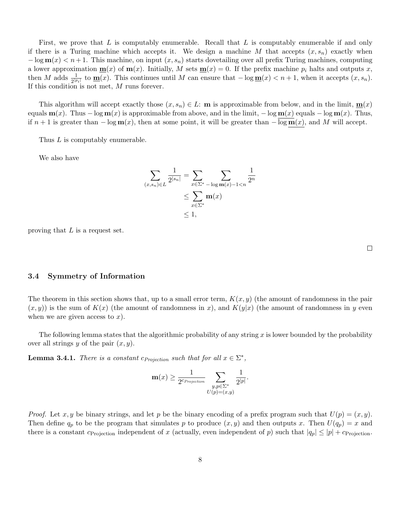First, we prove that  $L$  is computably enumerable. Recall that  $L$  is computably enumerable if and only if there is a Turing machine which accepts it. We design a machine M that accepts  $(x, s_n)$  exactly when  $-\log m(x) < n+1$ . This machine, on input  $(x, s_n)$  starts dovetailing over all prefix Turing machines, computing a lower approximation  $\underline{\mathbf{m}}(x)$  of  $\mathbf{m}(x)$ . Initially, M sets  $\underline{\mathbf{m}}(x) = 0$ . If the prefix machine  $p_i$  halts and outputs x, then M adds  $\frac{1}{2^{|p_i|}}$  to  $\underline{\mathbf{m}}(x)$ . This continues until M can ensure that  $-\log \underline{\mathbf{m}}(x) < n+1$ , when it accepts  $(x, s_n)$ . If this condition is not met, M runs forever.

This algorithm will accept exactly those  $(x, s_n) \in L$ : **m** is approximable from below, and in the limit,  $\mathbf{m}(x)$ equals  $\mathbf{m}(x)$ . Thus – log  $\mathbf{m}(x)$  is approximable from above, and in the limit, – log  $\mathbf{m}(x)$  equals – log  $\mathbf{m}(x)$ . Thus, if  $n + 1$  is greater than  $-\log \mathbf{m}(x)$ , then at some point, it will be greater than  $-\overline{\log \mathbf{m}}(x)$ , and M will accept.

Thus L is computably enumerable.

We also have

$$
\sum_{(x,s_n)\in L} \frac{1}{2^{|s_n|}} = \sum_{x\in \Sigma^*} \sum_{-\log m(x)-1 < n} \frac{1}{2^n}
$$
\n
$$
\leq \sum_{x\in \Sigma^*} \mathbf{m}(x)
$$
\n
$$
\leq 1,
$$

proving that  $L$  is a request set.

3.4 Symmetry of Information

The theorem in this section shows that, up to a small error term,  $K(x, y)$  (the amount of randomness in the pair  $(x, y)$  is the sum of  $K(x)$  (the amount of randomness in x), and  $K(y|x)$  (the amount of randomness in y even when we are given access to  $x$ ).

The following lemma states that the algorithmic probability of any string  $x$  is lower bounded by the probability over all strings y of the pair  $(x, y)$ .

<span id="page-7-0"></span>**Lemma 3.4.1.** There is a constant  $c_{Projection}$  such that for all  $x \in \Sigma^*$ ,

$$
\mathbf{m}(x) \ge \frac{1}{2^{c_{Projection}}}\sum_{\substack{y,p\in\Sigma^*\\U(p)=(x,y)}}\frac{1}{2^{|p|}}.
$$

*Proof.* Let x, y be binary strings, and let p be the binary encoding of a prefix program such that  $U(p) = (x, y)$ . Then define  $q_p$  to be the program that simulates p to produce  $(x, y)$  and then outputs x. Then  $U(q_p) = x$  and there is a constant  $c_{\text{Projection}}$  independent of x (actually, even independent of p) such that  $|q_p| \leq |p| + c_{\text{Projection}}$ .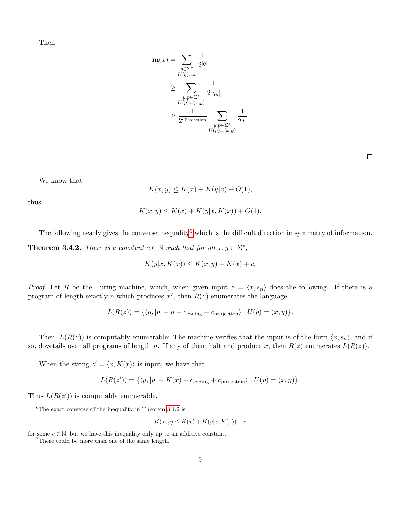Then

$$
\mathbf{m}(x) = \sum_{q \in \Sigma^*} \frac{1}{2^{|q|}}
$$
  
\n
$$
\geq \sum_{\substack{y, p \in \Sigma^* \\ U(p) = (x,y)}} \frac{1}{2^{|q|}}
$$
  
\n
$$
\geq \frac{1}{2^{c_{\text{Projection}}}} \sum_{\substack{y, p \in \Sigma^* \\ U(p) = (x,y)}} \frac{1}{2^{|p|}}
$$

We know that

$$
K(x,y) \leq K(x) + K(y|x) + O(1),
$$

thus

$$
K(x, y) \le K(x) + K(y|x, K(x)) + O(1).
$$

<span id="page-8-2"></span>The following nearly gives the converse inequality<sup>[6](#page-8-0)</sup> which is the difficult direction in symmetry of information. **Theorem 3.4.2.** There is a constant  $c \in \mathbb{N}$  such that for all  $x, y \in \Sigma^*$ ,

$$
K(y|x, K(x)) \le K(x, y) - K(x) + c.
$$

*Proof.* Let R be the Turing machine, which, when given input  $z = \langle x, s_n \rangle$  does the following. If there is a program of length exactly n which produces  $x^7$  $x^7$ , then  $R(z)$  enumerates the language

$$
L(R(z)) = \{ \langle y, |p| - n + c_{\text{coding}} + c_{\text{projection}} \rangle \mid U(p) = (x, y) \}.
$$

Then,  $L(R(z))$  is computably enumerable: The machine verifies that the input is of the form  $\langle x, s_n \rangle$ , and if so, dovetails over all programs of length n. If any of them halt and produce x, then  $R(z)$  enumerates  $L(R(z))$ .

When the string  $z' = \langle x, K(x) \rangle$  is input, we have that

$$
L(R(z')) = \{ \langle y, |p| - K(x) + c_{\text{coding}} + c_{\text{projection}} \rangle \mid U(p) = (x, y) \}.
$$

Thus  $L(R(z'))$  is computably enumerable.

$$
K(x, y) \le K(x) + K(y|x, K(x)) - c
$$

for some  $c \in \mathbb{N}$ , but we have this inequality only up to an additive constant.

<span id="page-8-1"></span><sup>7</sup>There could be more than one of the same length.

<span id="page-8-0"></span> ${}^{6}$ The exact converse of the inequality in Theorem [3.4.2](#page-8-2) is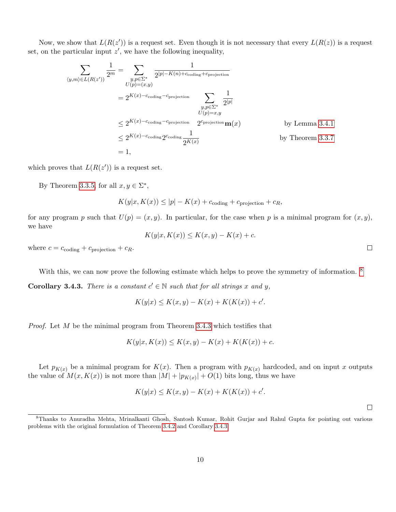Now, we show that  $L(R(z'))$  is a request set. Even though it is not necessary that every  $L(R(z))$  is a request set, on the particular input  $z'$ , we have the following inequality,

$$
\sum_{\langle y,m\rangle \in L(R(z'))} \frac{1}{2^m} = \sum_{\substack{y,p \in \Sigma^* \\ U(p)=(x,y)}} \frac{1}{2^{|p|-K(n)+c_{\text{coding}}+c_{\text{projection}}}} \\
= 2^{K(x)-c_{\text{coding}}-c_{\text{projection}}} \sum_{\substack{y,p \in \Sigma^* \\ U(p)=x,y}} \frac{1}{2^{|p|}} \\
\leq 2^{K(x)-c_{\text{coding}}-c_{\text{projection}}} 2^{c_{\text{projection}}} \mathbf{m}(x) \qquad \text{by Lemma 3.4.1} \\
\leq 2^{K(x)-c_{\text{coding}}} 2^{c_{\text{coding}}}\frac{1}{2^{K(x)}} \qquad \text{by Theorem 3.3.7} \\
= 1,
$$

which proves that  $L(R(z'))$  is a request set.

By Theorem [3.3.5,](#page-4-0) for all  $x, y \in \Sigma^*$ ,

 $K(y|x, K(x)) \le |p| - K(x) + c_{\text{coding}} + c_{\text{projection}} + c_R,$ 

for any program p such that  $U(p) = (x, y)$ . In particular, for the case when p is a minimal program for  $(x, y)$ , we have

$$
K(y|x, K(x)) \le K(x, y) - K(x) + c.
$$

where  $c = c_{\text{coding}} + c_{\text{projection}} + c_R$ .

With this, we can now prove the following estimate which helps to prove the symmetry of information. <sup>[8](#page-9-0)</sup>

<span id="page-9-1"></span>**Corollary 3.4.3.** There is a constant  $c' \in \mathbb{N}$  such that for all strings x and y,

$$
K(y|x) \le K(x, y) - K(x) + K(K(x)) + c'.
$$

*Proof.* Let  $M$  be the minimal program from Theorem [3.4.3](#page-9-1) which testifies that

$$
K(y|x, K(x)) \le K(x, y) - K(x) + K(K(x)) + c.
$$

Let  $p_{K(x)}$  be a minimal program for  $K(x)$ . Then a program with  $p_{K(x)}$  hardcoded, and on input x outputs the value of  $M(x, K(x))$  is not more than  $|M| + |p_{K(x)}| + O(1)$  bits long, thus we have

$$
K(y|x) \le K(x, y) - K(x) + K(K(x)) + c'.
$$

 $\Box$ 

<span id="page-9-0"></span><sup>8</sup>Thanks to Anuradha Mehta, Mrinalkanti Ghosh, Santosh Kumar, Rohit Gurjar and Rahul Gupta for pointing out various problems with the original formulation of Theorem [3.4.2](#page-8-2) and Corollary [3.4.3.](#page-9-1)